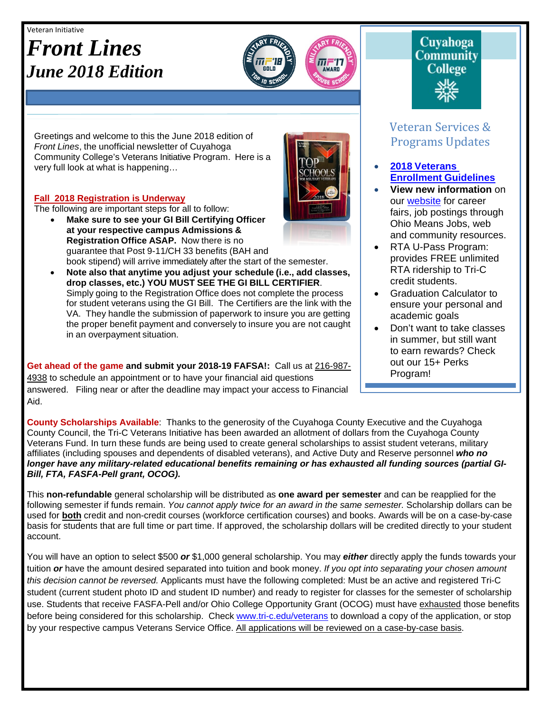#### Veteran Initiative

# *Front Lines June 2018 Edition*



Greetings and welcome to this the June 2018 edition of *Front Lines*, the unofficial newsletter of Cuyahoga Community College's Veterans Initiative Program. Here is a very full look at what is happening…

#### **Fall 2018 Registration is Underway**

The following are important steps for all to follow:

- **Make sure to see your GI Bill Certifying Officer at your respective campus Admissions & Registration Office ASAP.** Now there is no guarantee that Post 9-11/CH 33 benefits (BAH and book stipend) will arrive immediately after the start of the semester.
- **Note also that anytime you adjust your schedule (i.e., add classes, drop classes, etc.) YOU MUST SEE THE GI BILL CERTIFIER**. Simply going to the Registration Office does not complete the process for student veterans using the GI Bill. The Certifiers are the link with the VA. They handle the submission of paperwork to insure you are getting the proper benefit payment and conversely to insure you are not caught in an overpayment situation.

Get ahead of the game and submit your 2018-19 FAFSA!: Call us at 216-987-4938 to schedule an appointment or to have your financial aid questions answered. Filing near or after the deadline may impact your access to Financial Aid.



# Cuyahoga **Community College**

## Veteran Services & Programs Updates

- **2018 [Veterans](http://www.tri-c.edu/veterans/documents/veterans-student-veteran-guide-flyer-2017.pdf) [Enrollment](http://www.tri-c.edu/veterans/documents/veterans-student-veteran-guide-flyer-2017.pdf) Guidelines**
- **View new information** on our [website](http://www.tri-c.edu/veterans/) for career fairs, job postings through Ohio Means Jobs, web and community resources.
- RTA U-Pass Program: provides FREE unlimited RTA ridership to Tri-C credit students.
- Graduation Calculator to ensure your personal and academic goals
- Don't want to take classes in summer, but still want to earn rewards? Check out our 15+ Perks Program!

•

**County Scholarships Available**: Thanks to the generosity of the Cuyahoga County Executive and the Cuyahoga County Council, the Tri-C Veterans Initiative has been awarded an allotment of dollars from the Cuyahoga County Veterans Fund. In turn these funds are being used to create general scholarships to assist student veterans, military affiliates (including spouses and dependents of disabled veterans), and Active Duty and Reserve personnel *who no longer have any military-related educational benefits remaining or has exhausted all funding sources (partial GI-Bill, FTA, FASFA-Pell grant, OCOG).*

This **non-refundable** general scholarship will be distributed as **one award per semester** and can be reapplied for the following semester if funds remain. *You cannot apply twice for an award in the same semester.* Scholarship dollars can be used for **both** credit and non-credit courses (workforce certification courses) and books. Awards will be on a case-by-case basis for students that are full time or part time. If approved, the scholarship dollars will be credited directly to your student account.

You will have an option to select \$500 *or* \$1,000 general scholarship. You may *either* directly apply the funds towards your tuition *or* have the amount desired separated into tuition and book money. *If you opt into separating your chosen amount this decision cannot be reversed.* Applicants must have the following completed: Must be an active and registered Tri-C student (current student photo ID and student ID number) and ready to register for classes for the semester of scholarship use. Students that receive FASFA-Pell and/or Ohio College Opportunity Grant (OCOG) must have exhausted those benefits before being considered for this scholarship. Check [www.tri-c.edu/veterans](http://www.tri-c.edu/veterans) to download a copy of the application, or stop by your respective campus Veterans Service Office. All applications will be reviewed on a case-by-case basis.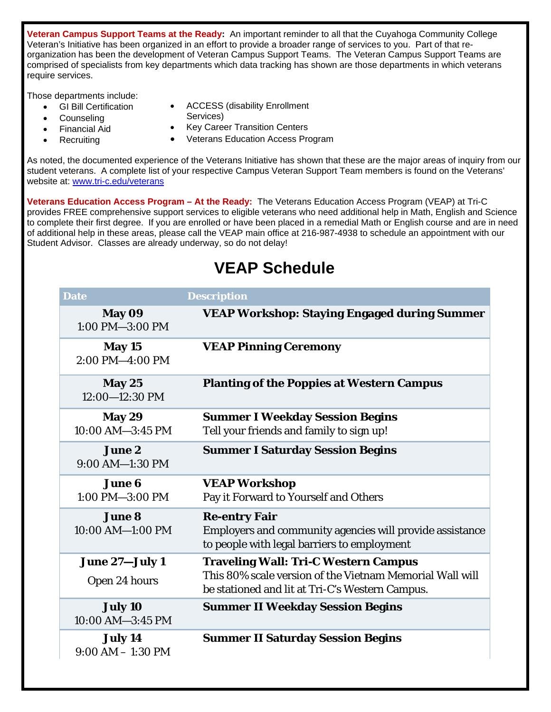**Veteran Campus Support Teams at the Ready:** An important reminder to all that the Cuyahoga Community College Veteran's Initiative has been organized in an effort to provide a broader range of services to you. Part of that reorganization has been the development of Veteran Campus Support Teams. The Veteran Campus Support Teams are comprised of specialists from key departments which data tracking has shown are those departments in which veterans require services.

Those departments include:

- GI Bill Certification
- **Counseling**
- Financial Aid
- **Recruiting**
- ACCESS (disability Enrollment
- Services)
- Key Career Transition Centers
- Veterans Education Access Program

As noted, the documented experience of the Veterans Initiative has shown that these are the major areas of inquiry from our student veterans. A complete list of your respective Campus Veteran Support Team members is found on the Veterans' website at: [www.tri-c.edu/veterans](http://www.tri-c.edu/veterans)

**Veterans Education Access Program – At the Ready:** The Veterans Education Access Program (VEAP) at Tri-C provides FREE comprehensive support services to eligible veterans who need additional help in Math, English and Science to complete their first degree. If you are enrolled or have been placed in a remedial Math or English course and are in need of additional help in these areas, please call the VEAP main office at 216-987-4938 to schedule an appointment with our Student Advisor. Classes are already underway, so do not delay!

## **VEAP Schedule**

| <b>Date</b>                       | <b>Description</b>                                                                                                                                         |
|-----------------------------------|------------------------------------------------------------------------------------------------------------------------------------------------------------|
| May 09<br>1:00 PM-3:00 PM         | <b>VEAP Workshop: Staying Engaged during Summer</b>                                                                                                        |
| May 15<br>$2:00$ PM $-4:00$ PM    | <b>VEAP Pinning Ceremony</b>                                                                                                                               |
| May 25<br>12:00-12:30 PM          | <b>Planting of the Poppies at Western Campus</b>                                                                                                           |
| <b>May 29</b><br>10:00 AM-3:45 PM | <b>Summer I Weekday Session Begins</b><br>Tell your friends and family to sign up!                                                                         |
| <b>June 2</b><br>9:00 AM-1:30 PM  | <b>Summer I Saturday Session Begins</b>                                                                                                                    |
| <b>June 6</b><br>1:00 PM-3:00 PM  | <b>VEAP Workshop</b><br>Pay it Forward to Yourself and Others                                                                                              |
| <b>June 8</b><br>10:00 AM-1:00 PM | <b>Re-entry Fair</b><br>Employers and community agencies will provide assistance<br>to people with legal barriers to employment                            |
| June 27-July 1<br>Open 24 hours   | <b>Traveling Wall: Tri-C Western Campus</b><br>This 80% scale version of the Vietnam Memorial Wall will<br>be stationed and lit at Tri-C's Western Campus. |
| July 10<br>10:00 AM-3:45 PM       | <b>Summer II Weekday Session Begins</b>                                                                                                                    |
| July 14<br>$9:00 AM - 1:30 PM$    | <b>Summer II Saturday Session Begins</b>                                                                                                                   |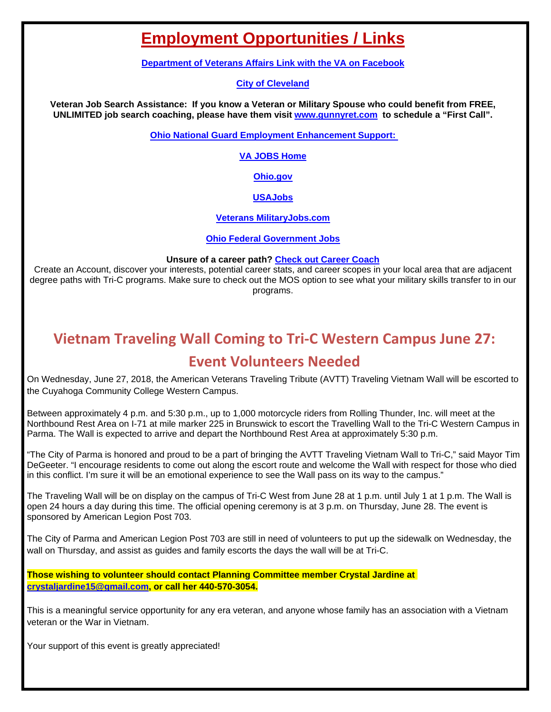## **Employment Opportunities / Links**

**[Department of Veterans Affairs Link with the VA on Facebook](https://www.facebook.com/VeteransAffairs/)**

#### **[City of Cleveland](http://www.city.cleveland.oh.us/CityofCleveland/Home/Community/CareerCenter)**

**Veteran Job Search Assistance: If you know a Veteran or Military Spouse who could benefit from FREE, UNLIMITED job search coaching, please have them visit [www.gunnyret.com](http://www.gunnyret.com/) to schedule a "First Call".**

**[Ohio National Guard Employment Enhancement Support:](https://drive.google.com/file/d/0B6KQApfHm1pGbnByRGlTNEhyUlU/view?usp=sharing)** 

**[VA JOBS Home](http://www.va.gov/jobs/)**

**[Ohio.gov](http://agency.governmentjobs.com/ohio/default.cfm?clearSearch=1)**

**[USAJobs](https://www.usajobs.gov/)**

**[Veterans MilitaryJobs.com](http://www.military.com/veteran-jobs)**

**[Ohio Federal Government Jobs](http://federalgovernmentjobs.us/job-location/ohiooh.htm)**

#### **Unsure of a career path? [Check out Career Coach](https://tri-c.emsicc.com/)**

Create an Account, discover your interests, potential career stats, and career scopes in your local area that are adjacent degree paths with Tri-C programs. Make sure to check out the MOS option to see what your military skills transfer to in our programs.

## **Vietnam Traveling Wall Coming to Tri-C Western Campus June 27:**

## **Event Volunteers Needed**

On Wednesday, June 27, 2018, the American Veterans Traveling Tribute (AVTT) Traveling Vietnam Wall will be escorted to the Cuyahoga Community College Western Campus.

Between approximately 4 p.m. and 5:30 p.m., up to 1,000 motorcycle riders from Rolling Thunder, Inc. will meet at the Northbound Rest Area on I-71 at mile marker 225 in Brunswick to escort the Travelling Wall to the Tri-C Western Campus in Parma. The Wall is expected to arrive and depart the Northbound Rest Area at approximately 5:30 p.m.

"The City of Parma is honored and proud to be a part of bringing the AVTT Traveling Vietnam Wall to Tri-C," said Mayor Tim DeGeeter. "I encourage residents to come out along the escort route and welcome the Wall with respect for those who died in this conflict. I'm sure it will be an emotional experience to see the Wall pass on its way to the campus."

The Traveling Wall will be on display on the campus of Tri-C West from June 28 at 1 p.m. until July 1 at 1 p.m. The Wall is open 24 hours a day during this time. The official opening ceremony is at 3 p.m. on Thursday, June 28. The event is sponsored by American Legion Post 703.

The City of Parma and American Legion Post 703 are still in need of volunteers to put up the sidewalk on Wednesday, the wall on Thursday, and assist as guides and family escorts the days the wall will be at Tri-C.

**Those wishing to volunteer should contact Planning Committee member Crystal Jardine at [crystaljardine15@gmail.com,](mailto:crystaljardine15@gmail.com) or call her 440-570-3054.**

This is a meaningful service opportunity for any era veteran, and anyone whose family has an association with a Vietnam veteran or the War in Vietnam.

Your support of this event is greatly appreciated!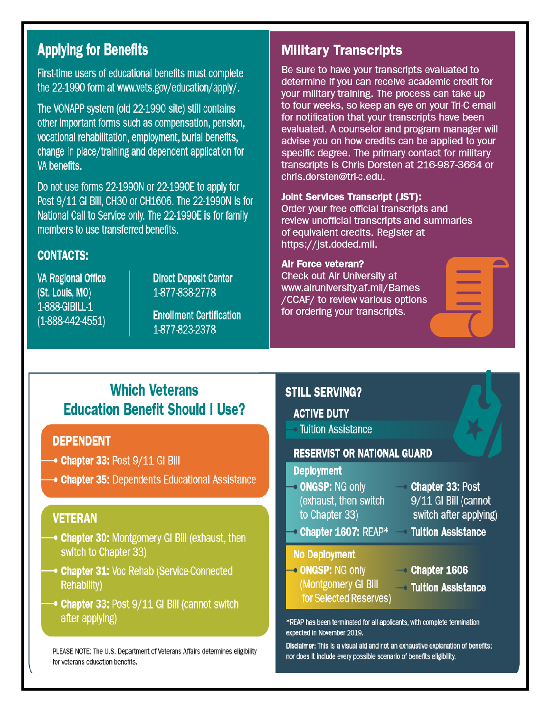## **Applying for Benefits**

First-time users of educational benefits must complete the 22-1990 form at www.vets.gov/education/apply/.

The VONAPP system (old 22-1990 site) still contains other important forms such as compensation, pension, vocational rehabilitation, employment, burial benefits, change in place/training and dependent application for VA benefits.

Do not use forms 22-1990N or 22-1990E to apply for Post 9/11 GI Bill, CH30 or CH1606. The 22-1990N is for National Call to Service only. The 22-1990E is for family members to use transferred benefits.

### **CONTACTS:**

**VA Regional Office** (St. Louis, MO) 1-888-GIBILL-1  $(1-888-442-4551)$ 

**Direct Deposit Center** 1-877-838-2778

**Enrollment Certification** 1-877-823-2378

## **Military Transcripts**

Be sure to have your transcripts evaluated to determine if you can receive academic credit for your military training. The process can take up to four weeks, so keep an eye on your Tri-C email for notification that your transcripts have been evaluated. A counselor and program manager will advise you on how credits can be applied to your specific degree. The primary contact for military transcripts is Chris Dorsten at 216-987-3664 or chris.dorsten@tri-c.edu.

#### **Joint Services Transcript (JST):**

Order your free official transcripts and review unofficial transcripts and summaries of equivalent credits. Register at https://jst.doded.mil.

#### **Air Force veteran?**

Check out Air University at www.airuniversity.af.mil/Barnes /CCAF/ to review various options for ordering your transcripts.

## **Which Veterans Education Benefit Should I Use?**

### **DEPENDENT**

- $\rightarrow$  Chapter 33: Post  $9/11$  GI Bill
- **Chapter 35: Dependents Educational Assistance**

### **VETERAN**

- **Chapter 30: Montgomery GI Bill (exhaust, then** switch to Chapter 33)
- **Chapter 31: Voc Rehab (Service-Connected Rehability)**
- → Chapter 33: Post 9/11 GI Bill (cannot switch after applying)

PLEASE NOTE: The U.S. Department of Veterans Affairs determines eligibility for veterans education benefits.

### **STILL SERVING?**

#### **ACTIVE DUTY**

**Tuition Assistance** 

#### **RESERVIST OR NATIONAL GUARD**

#### **Deployment**

- **ONGSP: NG only** (exhaust, then switch to Chapter 33)
- **Chapter 33: Post** 9/11 GI Bill (cannot switch after applying)
- **Chapter 1607: REAP\***

#### **No Deployment**

- ONGSP: NG only (Montgomery GI Bill for Selected Reserves)
- $\sim$  Chapter 1606

**Tultion Assistance** 

**→ Tuition Assistance** 

\*REAP has been terminated for all applicants, with complete termination expected in November 2019.

Disclaimer: This is a visual aid and not an exhaustive explanation of benefits; nor does it include every possible scenario of benefits eligibility.

 $\rightarrow$